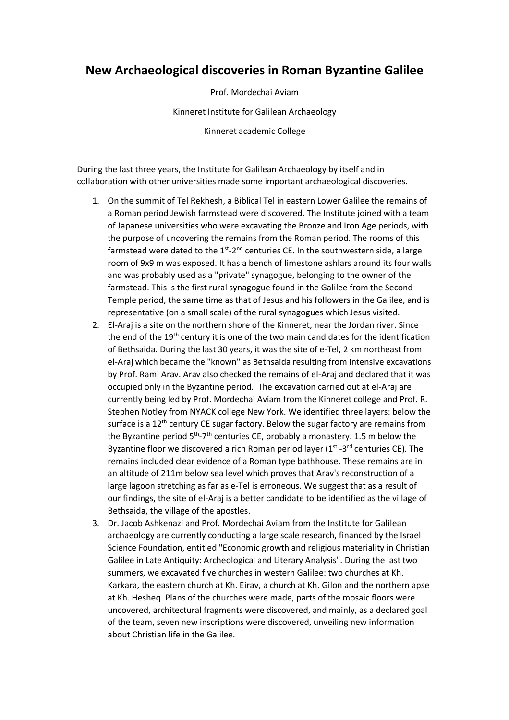## **New Archaeological discoveries in Roman Byzantine Galilee**

Prof. Mordechai Aviam Kinneret Institute for Galilean Archaeology Kinneret academic College

During the last three years, the Institute for Galilean Archaeology by itself and in collaboration with other universities made some important archaeological discoveries.

- 1. On the summit of Tel Rekhesh, a Biblical Tel in eastern Lower Galilee the remains of a Roman period Jewish farmstead were discovered. The Institute joined with a team of Japanese universities who were excavating the Bronze and Iron Age periods, with the purpose of uncovering the remains from the Roman period. The rooms of this farmstead were dated to the  $1<sup>st</sup> - 2<sup>nd</sup>$  centuries CE. In the southwestern side, a large room of 9x9 m was exposed. It has a bench of limestone ashlars around its four walls and was probably used as a "private" synagogue, belonging to the owner of the farmstead. This is the first rural synagogue found in the Galilee from the Second Temple period, the same time as that of Jesus and his followers in the Galilee, and is representative (on a small scale) of the rural synagogues which Jesus visited.
- 2. El-Araj is a site on the northern shore of the Kinneret, near the Jordan river. Since the end of the 19<sup>th</sup> century it is one of the two main candidates for the identification of Bethsaida. During the last 30 years, it was the site of e-Tel, 2 km northeast from el-Araj which became the "known" as Bethsaida resulting from intensive excavations by Prof. Rami Arav. Arav also checked the remains of el-Araj and declared that it was occupied only in the Byzantine period. The excavation carried out at el-Araj are currently being led by Prof. Mordechai Aviam from the Kinneret college and Prof. R. Stephen Notley from NYACK college New York. We identified three layers: below the surface is a 12<sup>th</sup> century CE sugar factory. Below the sugar factory are remains from the Byzantine period  $5<sup>th</sup>-7<sup>th</sup>$  centuries CE, probably a monastery. 1.5 m below the Byzantine floor we discovered a rich Roman period layer ( $1<sup>st</sup>$  -3<sup>rd</sup> centuries CE). The remains included clear evidence of a Roman type bathhouse. These remains are in an altitude of 211m below sea level which proves that Arav's reconstruction of a large lagoon stretching as far as e-Tel is erroneous. We suggest that as a result of our findings, the site of el-Araj is a better candidate to be identified as the village of Bethsaida, the village of the apostles.
- 3. Dr. Jacob Ashkenazi and Prof. Mordechai Aviam from the Institute for Galilean archaeology are currently conducting a large scale research, financed by the Israel Science Foundation, entitled "Economic growth and religious materiality in Christian Galilee in Late Antiquity: Archeological and Literary Analysis". During the last two summers, we excavated five churches in western Galilee: two churches at Kh. Karkara, the eastern church at Kh. Eirav, a church at Kh. Gilon and the northern apse at Kh. Hesheq. Plans of the churches were made, parts of the mosaic floors were uncovered, architectural fragments were discovered, and mainly, as a declared goal of the team, seven new inscriptions were discovered, unveiling new information about Christian life in the Galilee.